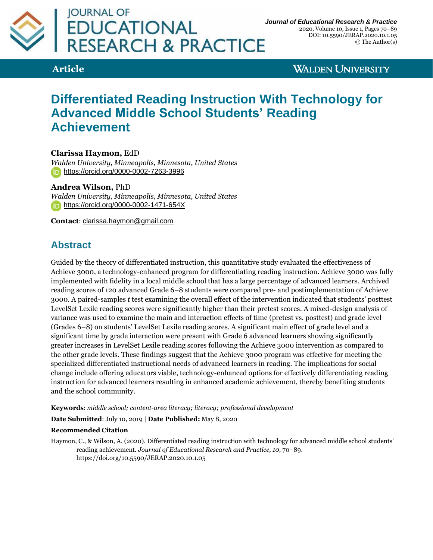

**Article**

**WALDEN UNIVERSITY** 

# **Differentiated Reading Instruction With Technology for Advanced Middle School Students' Reading Achievement**

**Clarissa Haymon,** EdD

*Walden University, Minneapolis, Minnesota, United States* <https://orcid.org/0000-0002-7263-3996>

**Andrea Wilson,** PhD

*Walden University, Minneapolis, Minnesota, United States* <https://orcid.org/0000-0002-1471-654X>

**Contact**: [clarissa.haymon@gmail.com](mailto:clarissa.haymon@gmail.com)

# **Abstract**

Guided by the theory of differentiated instruction, this quantitative study evaluated the effectiveness of Achieve 3000, a technology-enhanced program for differentiating reading instruction. Achieve 3000 was fully implemented with fidelity in a local middle school that has a large percentage of advanced learners. Archived reading scores of 120 advanced Grade 6–8 students were compared pre- and postimplementation of Achieve 3000. A paired-samples *t* test examining the overall effect of the intervention indicated that students' posttest LevelSet Lexile reading scores were significantly higher than their pretest scores. A mixed-design analysis of variance was used to examine the main and interaction effects of time (pretest vs. posttest) and grade level (Grades 6–8) on students' LevelSet Lexile reading scores. A significant main effect of grade level and a significant time by grade interaction were present with Grade 6 advanced learners showing significantly greater increases in LevelSet Lexile reading scores following the Achieve 3000 intervention as compared to the other grade levels. These findings suggest that the Achieve 3000 program was effective for meeting the specialized differentiated instructional needs of advanced learners in reading. The implications for social change include offering educators viable, technology-enhanced options for effectively differentiating reading instruction for advanced learners resulting in enhanced academic achievement, thereby benefiting students and the school community.

**Keywords**: *middle school; content-area literacy; literacy; professional development*

**Date Submitted**: July 10, 2019 | **Date Published:** May 8, 2020

#### **Recommended Citation**

Haymon, C., & Wilson, A. (2020). Differentiated reading instruction with technology for advanced middle school students' reading achievement. *Journal of Educational Research and Practice, 10*, 70–89. <https://doi.org/10.5590/JERAP.2020.10.1.05>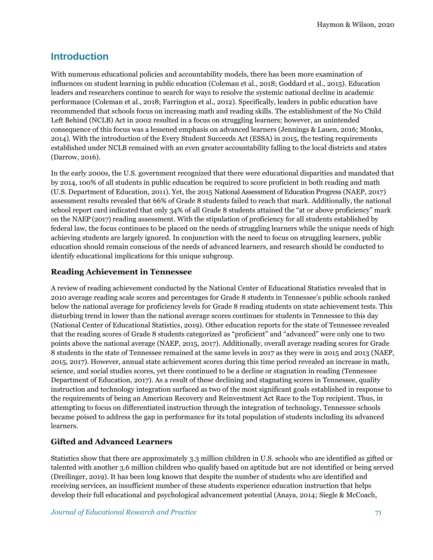### **Introduction**

With numerous educational policies and accountability models, there has been more examination of influences on student learning in public education (Coleman et al., 2018; Goddard et al., 2015). Education leaders and researchers continue to search for ways to resolve the systemic national decline in academic performance (Coleman et al., 2018; Farrington et al., 2012). Specifically, leaders in public education have recommended that schools focus on increasing math and reading skills. The establishment of the No Child Left Behind (NCLB) Act in 2002 resulted in a focus on struggling learners; however, an unintended consequence of this focus was a lessened emphasis on advanced learners (Jennings & Lauen, 2016; Monks, 2014). With the introduction of the Every Student Succeeds Act (ESSA) in 2015, the testing requirements established under NCLB remained with an even greater accountability falling to the local districts and states (Darrow, 2016).

In the early 2000s, the U.S. government recognized that there were educational disparities and mandated that by 2014, 100% of all students in public education be required to score proficient in both reading and math (U.S. Department of Education, 2011). Yet, the 2015 National Assessment of Education Progress (NAEP, 2017) assessment results revealed that 66% of Grade 8 students failed to reach that mark. Additionally, the national school report card indicated that only 34% of all Grade 8 students attained the "at or above proficiency" mark on the NAEP (2017) reading assessment. With the stipulation of proficiency for all students established by federal law, the focus continues to be placed on the needs of struggling learners while the unique needs of high achieving students are largely ignored. In conjunction with the need to focus on struggling learners, public education should remain conscious of the needs of advanced learners, and research should be conducted to identify educational implications for this unique subgroup.

### **Reading Achievement in Tennessee**

A review of reading achievement conducted by the National Center of Educational Statistics revealed that in 2010 average reading scale scores and percentages for Grade 8 students in Tennessee's public schools ranked below the national average for proficiency levels for Grade 8 reading students on state achievement tests. This disturbing trend in lower than the national average scores continues for students in Tennessee to this day (National Center of Educational Statistics, 2019). Other education reports for the state of Tennessee revealed that the reading scores of Grade 8 students categorized as "proficient" and "advanced" were only one to two points above the national average (NAEP, 2015, 2017). Additionally, overall average reading scores for Grade 8 students in the state of Tennessee remained at the same levels in 2017 as they were in 2015 and 2013 (NAEP, 2015, 2017). However, annual state achievement scores during this time period revealed an increase in math, science, and social studies scores, yet there continued to be a decline or stagnation in reading (Tennessee Department of Education, 2017). As a result of these declining and stagnating scores in Tennessee, quality instruction and technology integration surfaced as two of the most significant goals established in response to the requirements of being an American Recovery and Reinvestment Act Race to the Top recipient. Thus, in attempting to focus on differentiated instruction through the integration of technology, Tennessee schools became poised to address the gap in performance for its total population of students including its advanced learners.

### **Gifted and Advanced Learners**

Statistics show that there are approximately 3.3 million children in U.S. schools who are identified as gifted or talented with another 3.6 million children who qualify based on aptitude but are not identified or being served (Dreilinger, 2019). It has been long known that despite the number of students who are identified and receiving services, an insufficient number of these students experience education instruction that helps develop their full educational and psychological advancement potential (Anaya, 2014; Siegle & McCoach,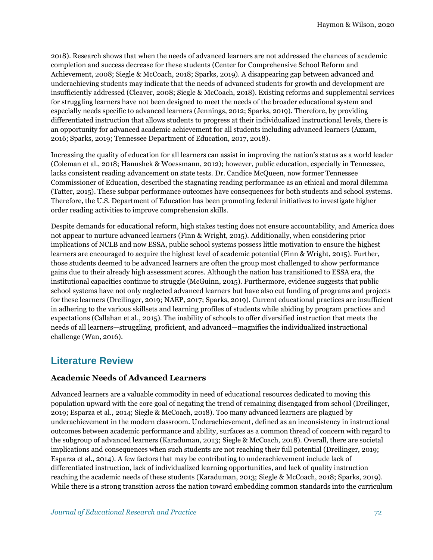2018). Research shows that when the needs of advanced learners are not addressed the chances of academic completion and success decrease for these students (Center for Comprehensive School Reform and Achievement, 2008; Siegle & McCoach, 2018; Sparks, 2019). A disappearing gap between advanced and underachieving students may indicate that the needs of advanced students for growth and development are insufficiently addressed (Cleaver, 2008; Siegle & McCoach, 2018). Existing reforms and supplemental services for struggling learners have not been designed to meet the needs of the broader educational system and especially needs specific to advanced learners (Jennings, 2012; Sparks, 2019). Therefore, by providing differentiated instruction that allows students to progress at their individualized instructional levels, there is an opportunity for advanced academic achievement for all students including advanced learners (Azzam, 2016; Sparks, 2019; Tennessee Department of Education, 2017, 2018).

Increasing the quality of education for all learners can assist in improving the nation's status as a world leader (Coleman et al., 2018; Hanushek & Woessmann, 2012); however, public education, especially in Tennessee, lacks consistent reading advancement on state tests. Dr. Candice McQueen, now former Tennessee Commissioner of Education, described the stagnating reading performance as an ethical and moral dilemma (Tatter, 2015). These subpar performance outcomes have consequences for both students and school systems. Therefore, the U.S. Department of Education has been promoting federal initiatives to investigate higher order reading activities to improve comprehension skills.

Despite demands for educational reform, high stakes testing does not ensure accountability, and America does not appear to nurture advanced learners (Finn & Wright, 2015). Additionally, when considering prior implications of NCLB and now ESSA, public school systems possess little motivation to ensure the highest learners are encouraged to acquire the highest level of academic potential (Finn & Wright, 2015). Further, those students deemed to be advanced learners are often the group most challenged to show performance gains due to their already high assessment scores. Although the nation has transitioned to ESSA era, the institutional capacities continue to struggle (McGuinn, 2015). Furthermore, evidence suggests that public school systems have not only neglected advanced learners but have also cut funding of programs and projects for these learners (Dreilinger, 2019; NAEP, 2017; Sparks, 2019). Current educational practices are insufficient in adhering to the various skillsets and learning profiles of students while abiding by program practices and expectations (Callahan et al., 2015). The inability of schools to offer diversified instruction that meets the needs of all learners—struggling, proficient, and advanced—magnifies the individualized instructional challenge (Wan, 2016).

### **Literature Review**

#### **Academic Needs of Advanced Learners**

Advanced learners are a valuable commodity in need of educational resources dedicated to moving this population upward with the core goal of negating the trend of remaining disengaged from school (Dreilinger, 2019; Esparza et al., 2014; Siegle & McCoach, 2018). Too many advanced learners are plagued by underachievement in the modern classroom. Underachievement, defined as an inconsistency in instructional outcomes between academic performance and ability, surfaces as a common thread of concern with regard to the subgroup of advanced learners (Karaduman, 2013; Siegle & McCoach, 2018). Overall, there are societal implications and consequences when such students are not reaching their full potential (Dreilinger, 2019; Esparza et al., 2014). A few factors that may be contributing to underachievement include lack of differentiated instruction, lack of individualized learning opportunities, and lack of quality instruction reaching the academic needs of these students (Karaduman, 2013; Siegle & McCoach, 2018; Sparks, 2019). While there is a strong transition across the nation toward embedding common standards into the curriculum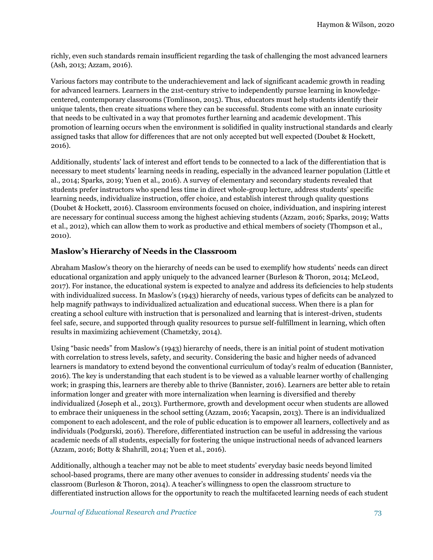richly, even such standards remain insufficient regarding the task of challenging the most advanced learners (Ash, 2013; Azzam, 2016).

Various factors may contribute to the underachievement and lack of significant academic growth in reading for advanced learners. Learners in the 21st-century strive to independently pursue learning in knowledgecentered, contemporary classrooms (Tomlinson, 2015). Thus, educators must help students identify their unique talents, then create situations where they can be successful. Students come with an innate curiosity that needs to be cultivated in a way that promotes further learning and academic development. This promotion of learning occurs when the environment is solidified in quality instructional standards and clearly assigned tasks that allow for differences that are not only accepted but well expected (Doubet & Hockett, 2016).

Additionally, students' lack of interest and effort tends to be connected to a lack of the differentiation that is necessary to meet students' learning needs in reading, especially in the advanced learner population (Little et al., 2014; Sparks, 2019; Yuen et al., 2016). A survey of elementary and secondary students revealed that students prefer instructors who spend less time in direct whole-group lecture, address students' specific learning needs, individualize instruction, offer choice, and establish interest through quality questions (Doubet & Hockett, 2016). Classroom environments focused on choice, individuation, and inspiring interest are necessary for continual success among the highest achieving students (Azzam, 2016; Sparks, 2019; Watts et al., 2012), which can allow them to work as productive and ethical members of society (Thompson et al., 2010).

#### **Maslow's Hierarchy of Needs in the Classroom**

Abraham Maslow's theory on the hierarchy of needs can be used to exemplify how students' needs can direct educational organization and apply uniquely to the advanced learner (Burleson & Thoron, 2014; McLeod, 2017). For instance, the educational system is expected to analyze and address its deficiencies to help students with individualized success. In Maslow's (1943) hierarchy of needs, various types of deficits can be analyzed to help magnify pathways to individualized actualization and educational success. When there is a plan for creating a school culture with instruction that is personalized and learning that is interest-driven, students feel safe, secure, and supported through quality resources to pursue self-fulfillment in learning, which often results in maximizing achievement (Chametzky, 2014).

Using "basic needs" from Maslow's (1943) hierarchy of needs, there is an initial point of student motivation with correlation to stress levels, safety, and security. Considering the basic and higher needs of advanced learners is mandatory to extend beyond the conventional curriculum of today's realm of education (Bannister, 2016). The key is understanding that each student is to be viewed as a valuable learner worthy of challenging work; in grasping this, learners are thereby able to thrive (Bannister, 2016). Learners are better able to retain information longer and greater with more internalization when learning is diversified and thereby individualized (Joseph et al., 2013). Furthermore, growth and development occur when students are allowed to embrace their uniqueness in the school setting (Azzam, 2016; Yacapsin, 2013). There is an individualized component to each adolescent, and the role of public education is to empower all learners, collectively and as individuals (Podgurski, 2016). Therefore, differentiated instruction can be useful in addressing the various academic needs of all students, especially for fostering the unique instructional needs of advanced learners (Azzam, 2016; Botty & Shahrill, 2014; Yuen et al., 2016).

Additionally, although a teacher may not be able to meet students' everyday basic needs beyond limited school-based programs, there are many other avenues to consider in addressing students' needs via the classroom (Burleson & Thoron, 2014). A teacher's willingness to open the classroom structure to differentiated instruction allows for the opportunity to reach the multifaceted learning needs of each student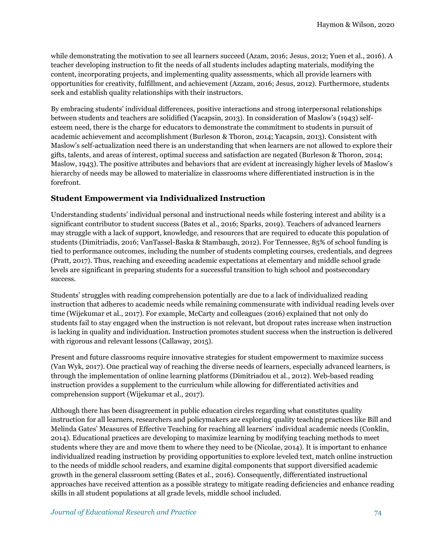while demonstrating the motivation to see all learners succeed (Azam, 2016; Jesus, 2012; Yuen et al., 2016). A teacher developing instruction to fit the needs of all students includes adapting materials, modifying the content, incorporating projects, and implementing quality assessments, which all provide learners with opportunities for creativity, fulfillment, and achievement (Azzam, 2016; Jesus, 2012). Furthermore, students seek and establish quality relationships with their instructors.

By embracing students' individual differences, positive interactions and strong interpersonal relationships between students and teachers are solidified (Yacapsin, 2013). In consideration of Maslow's (1943) selfesteem need, there is the charge for educators to demonstrate the commitment to students in pursuit of academic achievement and accomplishment (Burleson & Thoron, 2014; Yacapsin, 2013). Consistent with Maslow's self-actualization need there is an understanding that when learners are not allowed to explore their gifts, talents, and areas of interest, optimal success and satisfaction are negated (Burleson & Thoron, 2014; Maslow, 1943). The positive attributes and behaviors that are evident at increasingly higher levels of Maslow's hierarchy of needs may be allowed to materialize in classrooms where differentiated instruction is in the forefront.

### **Student Empowerment via Individualized Instruction**

Understanding students' individual personal and instructional needs while fostering interest and ability is a significant contributor to student success (Bates et al., 2016; Sparks, 2019). Teachers of advanced learners may struggle with a lack of support, knowledge, and resources that are required to educate this population of students (Dimitriadis, 2016; VanTassel-Baska & Stambaugh, 2012). For Tennessee, 85% of school funding is tied to performance outcomes, including the number of students completing courses, credentials, and degrees (Pratt, 2017). Thus, reaching and exceeding academic expectations at elementary and middle school grade levels are significant in preparing students for a successful transition to high school and postsecondary success.

Students' struggles with reading comprehension potentially are due to a lack of individualized reading instruction that adheres to academic needs while remaining commensurate with individual reading levels over time (Wijekumar et al., 2017). For example, McCarty and colleagues (2016) explained that not only do students fail to stay engaged when the instruction is not relevant, but dropout rates increase when instruction is lacking in quality and individuation. Instruction promotes student success when the instruction is delivered with rigorous and relevant lessons (Callaway, 2015).

Present and future classrooms require innovative strategies for student empowerment to maximize success (Van Wyk, 2017). One practical way of reaching the diverse needs of learners, especially advanced learners, is through the implementation of online learning platforms (Dimitriadou et al., 2012). Web-based reading instruction provides a supplement to the curriculum while allowing for differentiated activities and comprehension support (Wijekumar et al., 2017).

Although there has been disagreement in public education circles regarding what constitutes quality instruction for all learners, researchers and policymakers are exploring quality teaching practices like Bill and Melinda Gates' Measures of Effective Teaching for reaching all learners' individual academic needs (Conklin, 2014). Educational practices are developing to maximize learning by modifying teaching methods to meet students where they are and move them to where they need to be (Nicolae, 2014). It is important to enhance individualized reading instruction by providing opportunities to explore leveled text, match online instruction to the needs of middle school readers, and examine digital components that support diversified academic growth in the general classroom setting (Bates et al., 2016). Consequently, differentiated instructional approaches have received attention as a possible strategy to mitigate reading deficiencies and enhance reading skills in all student populations at all grade levels, middle school included.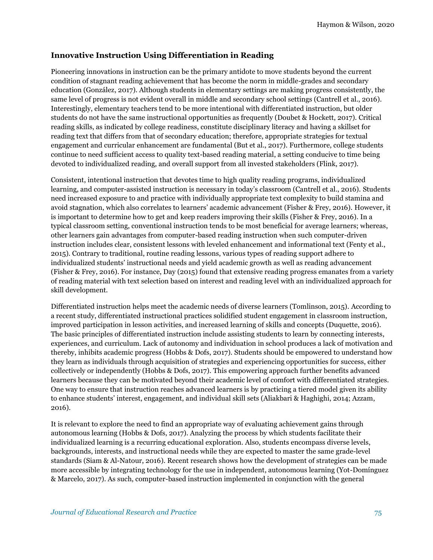#### **Innovative Instruction Using Differentiation in Reading**

Pioneering innovations in instruction can be the primary antidote to move students beyond the current condition of stagnant reading achievement that has become the norm in middle-grades and secondary education (González, 2017). Although students in elementary settings are making progress consistently, the same level of progress is not evident overall in middle and secondary school settings (Cantrell et al., 2016). Interestingly, elementary teachers tend to be more intentional with differentiated instruction, but older students do not have the same instructional opportunities as frequently (Doubet & Hockett, 2017). Critical reading skills, as indicated by college readiness, constitute disciplinary literacy and having a skillset for reading text that differs from that of secondary education; therefore, appropriate strategies for textual engagement and curricular enhancement are fundamental (But et al., 2017). Furthermore, college students continue to need sufficient access to quality text-based reading material, a setting conducive to time being devoted to individualized reading, and overall support from all invested stakeholders (Flink, 2017).

Consistent, intentional instruction that devotes time to high quality reading programs, individualized learning, and computer-assisted instruction is necessary in today's classroom (Cantrell et al., 2016). Students need increased exposure to and practice with individually appropriate text complexity to build stamina and avoid stagnation, which also correlates to learners' academic advancement (Fisher & Frey, 2016). However, it is important to determine how to get and keep readers improving their skills (Fisher & Frey, 2016). In a typical classroom setting, conventional instruction tends to be most beneficial for average learners; whereas, other learners gain advantages from computer-based reading instruction when such computer-driven instruction includes clear, consistent lessons with leveled enhancement and informational text (Fenty et al., 2015). Contrary to traditional, routine reading lessons, various types of reading support adhere to individualized students' instructional needs and yield academic growth as well as reading advancement (Fisher & Frey, 2016). For instance, Day (2015) found that extensive reading progress emanates from a variety of reading material with text selection based on interest and reading level with an individualized approach for skill development.

Differentiated instruction helps meet the academic needs of diverse learners (Tomlinson, 2015). According to a recent study, differentiated instructional practices solidified student engagement in classroom instruction, improved participation in lesson activities, and increased learning of skills and concepts (Duquette, 2016). The basic principles of differentiated instruction include assisting students to learn by connecting interests, experiences, and curriculum. Lack of autonomy and individuation in school produces a lack of motivation and thereby, inhibits academic progress (Hobbs & Dofs, 2017). Students should be empowered to understand how they learn as individuals through acquisition of strategies and experiencing opportunities for success, either collectively or independently (Hobbs & Dofs, 2017). This empowering approach further benefits advanced learners because they can be motivated beyond their academic level of comfort with differentiated strategies. One way to ensure that instruction reaches advanced learners is by practicing a tiered model given its ability to enhance students' interest, engagement, and individual skill sets (Aliakbari & Haghighi, 2014; Azzam, 2016).

It is relevant to explore the need to find an appropriate way of evaluating achievement gains through autonomous learning (Hobbs & Dofs, 2017). Analyzing the process by which students facilitate their individualized learning is a recurring educational exploration. Also, students encompass diverse levels, backgrounds, interests, and instructional needs while they are expected to master the same grade-level standards (Siam & Al-Natour, 2016). Recent research shows how the development of strategies can be made more accessible by integrating technology for the use in independent, autonomous learning (Yot-Domínguez & Marcelo, 2017). As such, computer-based instruction implemented in conjunction with the general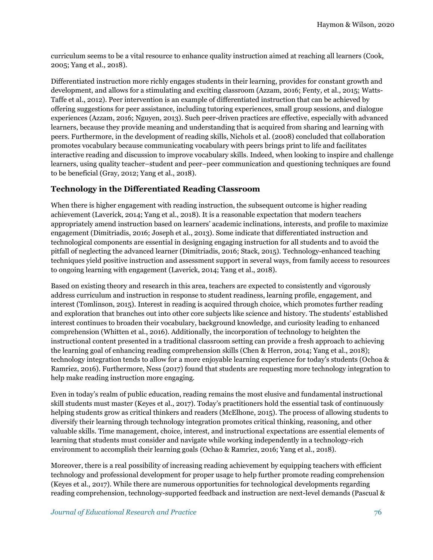curriculum seems to be a vital resource to enhance quality instruction aimed at reaching all learners (Cook, 2005; Yang et al., 2018).

Differentiated instruction more richly engages students in their learning, provides for constant growth and development, and allows for a stimulating and exciting classroom (Azzam, 2016; Fenty, et al., 2015; Watts-Taffe et al., 2012). Peer intervention is an example of differentiated instruction that can be achieved by offering suggestions for peer assistance, including tutoring experiences, small group sessions, and dialogue experiences (Azzam, 2016; Nguyen, 2013). Such peer-driven practices are effective, especially with advanced learners, because they provide meaning and understanding that is acquired from sharing and learning with peers. Furthermore, in the development of reading skills, Nichols et al. (2008) concluded that collaboration promotes vocabulary because communicating vocabulary with peers brings print to life and facilitates interactive reading and discussion to improve vocabulary skills. Indeed, when looking to inspire and challenge learners, using quality teacher–student and peer–peer communication and questioning techniques are found to be beneficial (Gray, 2012; Yang et al., 2018).

#### **Technology in the Differentiated Reading Classroom**

When there is higher engagement with reading instruction, the subsequent outcome is higher reading achievement (Laverick, 2014; Yang et al., 2018). It is a reasonable expectation that modern teachers appropriately amend instruction based on learners' academic inclinations, interests, and profile to maximize engagement (Dimitriadis, 2016; Joseph et al., 2013). Some indicate that differentiated instruction and technological components are essential in designing engaging instruction for all students and to avoid the pitfall of neglecting the advanced learner (Dimitriadis, 2016; Stack, 2015). Technology-enhanced teaching techniques yield positive instruction and assessment support in several ways, from family access to resources to ongoing learning with engagement (Laverick, 2014; Yang et al., 2018).

Based on existing theory and research in this area, teachers are expected to consistently and vigorously address curriculum and instruction in response to student readiness, learning profile, engagement, and interest (Tomlinson, 2015). Interest in reading is acquired through choice, which promotes further reading and exploration that branches out into other core subjects like science and history. The students' established interest continues to broaden their vocabulary, background knowledge, and curiosity leading to enhanced comprehension (Whitten et al., 2016). Additionally, the incorporation of technology to heighten the instructional content presented in a traditional classroom setting can provide a fresh approach to achieving the learning goal of enhancing reading comprehension skills (Chen & Herron, 2014; Yang et al., 2018); technology integration tends to allow for a more enjoyable learning experience for today's students (Ochoa & Ramriez, 2016). Furthermore, Ness (2017) found that students are requesting more technology integration to help make reading instruction more engaging.

Even in today's realm of public education, reading remains the most elusive and fundamental instructional skill students must master (Keyes et al., 2017). Today's practitioners hold the essential task of continuously helping students grow as critical thinkers and readers (McElhone, 2015). The process of allowing students to diversify their learning through technology integration promotes critical thinking, reasoning, and other valuable skills. Time management, choice, interest, and instructional expectations are essential elements of learning that students must consider and navigate while working independently in a technology-rich environment to accomplish their learning goals (Ochao & Ramriez, 2016; Yang et al., 2018).

Moreover, there is a real possibility of increasing reading achievement by equipping teachers with efficient technology and professional development for proper usage to help further promote reading comprehension (Keyes et al., 2017). While there are numerous opportunities for technological developments regarding reading comprehension, technology-supported feedback and instruction are next-level demands (Pascual &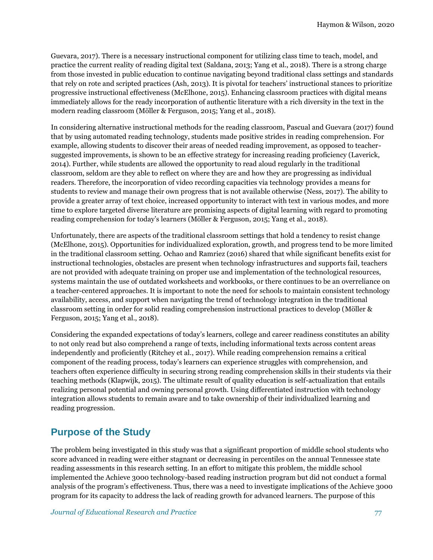Guevara, 2017). There is a necessary instructional component for utilizing class time to teach, model, and practice the current reality of reading digital text (Saldana, 2013; Yang et al., 2018). There is a strong charge from those invested in public education to continue navigating beyond traditional class settings and standards that rely on rote and scripted practices (Ash, 2013). It is pivotal for teachers' instructional stances to prioritize progressive instructional effectiveness (McElhone, 2015). Enhancing classroom practices with digital means immediately allows for the ready incorporation of authentic literature with a rich diversity in the text in the modern reading classroom (Möller & Ferguson, 2015; Yang et al., 2018).

In considering alternative instructional methods for the reading classroom, Pascual and Guevara (2017) found that by using automated reading technology, students made positive strides in reading comprehension. For example, allowing students to discover their areas of needed reading improvement, as opposed to teachersuggested improvements, is shown to be an effective strategy for increasing reading proficiency (Laverick, 2014). Further, while students are allowed the opportunity to read aloud regularly in the traditional classroom, seldom are they able to reflect on where they are and how they are progressing as individual readers. Therefore, the incorporation of video recording capacities via technology provides a means for students to review and manage their own progress that is not available otherwise (Ness, 2017). The ability to provide a greater array of text choice, increased opportunity to interact with text in various modes, and more time to explore targeted diverse literature are promising aspects of digital learning with regard to promoting reading comprehension for today's learners (Möller & Ferguson, 2015; Yang et al., 2018).

Unfortunately, there are aspects of the traditional classroom settings that hold a tendency to resist change (McElhone, 2015). Opportunities for individualized exploration, growth, and progress tend to be more limited in the traditional classroom setting. Ochao and Ramriez (2016) shared that while significant benefits exist for instructional technologies, obstacles are present when technology infrastructures and supports fail, teachers are not provided with adequate training on proper use and implementation of the technological resources, systems maintain the use of outdated worksheets and workbooks, or there continues to be an overreliance on a teacher-centered approaches. It is important to note the need for schools to maintain consistent technology availability, access, and support when navigating the trend of technology integration in the traditional classroom setting in order for solid reading comprehension instructional practices to develop (Möller & Ferguson, 2015; Yang et al., 2018).

Considering the expanded expectations of today's learners, college and career readiness constitutes an ability to not only read but also comprehend a range of texts, including informational texts across content areas independently and proficiently (Ritchey et al., 2017). While reading comprehension remains a critical component of the reading process, today's learners can experience struggles with comprehension, and teachers often experience difficulty in securing strong reading comprehension skills in their students via their teaching methods (Klapwijk, 2015). The ultimate result of quality education is self-actualization that entails realizing personal potential and owning personal growth. Using differentiated instruction with technology integration allows students to remain aware and to take ownership of their individualized learning and reading progression.

# **Purpose of the Study**

The problem being investigated in this study was that a significant proportion of middle school students who score advanced in reading were either stagnant or decreasing in percentiles on the annual Tennessee state reading assessments in this research setting. In an effort to mitigate this problem, the middle school implemented the Achieve 3000 technology-based reading instruction program but did not conduct a formal analysis of the program's effectiveness. Thus, there was a need to investigate implications of the Achieve 3000 program for its capacity to address the lack of reading growth for advanced learners. The purpose of this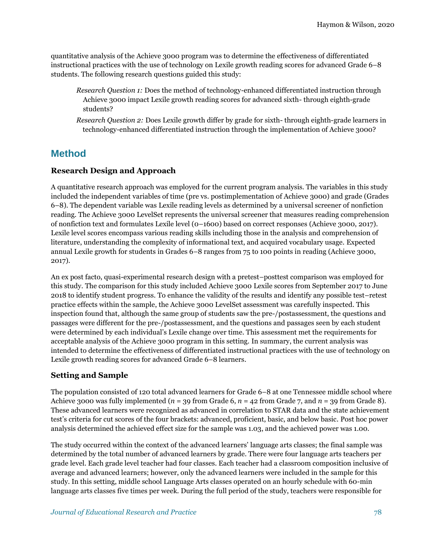quantitative analysis of the Achieve 3000 program was to determine the effectiveness of differentiated instructional practices with the use of technology on Lexile growth reading scores for advanced Grade 6–8 students. The following research questions guided this study:

- *Research Question 1:* Does the method of technology-enhanced differentiated instruction through Achieve 3000 impact Lexile growth reading scores for advanced sixth- through eighth-grade students?
- *Research Question 2:* Does Lexile growth differ by grade for sixth- through eighth-grade learners in technology-enhanced differentiated instruction through the implementation of Achieve 3000?

### **Method**

### **Research Design and Approach**

A quantitative research approach was employed for the current program analysis. The variables in this study included the independent variables of time (pre vs. postimplementation of Achieve 3000) and grade (Grades 6–8). The dependent variable was Lexile reading levels as determined by a universal screener of nonfiction reading. The Achieve 3000 LevelSet represents the universal screener that measures reading comprehension of nonfiction text and formulates Lexile level (0–1600) based on correct responses (Achieve 3000, 2017). Lexile level scores encompass various reading skills including those in the analysis and comprehension of literature, understanding the complexity of informational text, and acquired vocabulary usage. Expected annual Lexile growth for students in Grades 6–8 ranges from 75 to 100 points in reading (Achieve 3000, 2017).

An ex post facto, quasi-experimental research design with a pretest–posttest comparison was employed for this study. The comparison for this study included Achieve 3000 Lexile scores from September 2017 to June 2018 to identify student progress. To enhance the validity of the results and identify any possible test–retest practice effects within the sample, the Achieve 3000 LevelSet assessment was carefully inspected. This inspection found that, although the same group of students saw the pre-/postassessment, the questions and passages were different for the pre-/postassessment, and the questions and passages seen by each student were determined by each individual's Lexile change over time. This assessment met the requirements for acceptable analysis of the Achieve 3000 program in this setting. In summary, the current analysis was intended to determine the effectiveness of differentiated instructional practices with the use of technology on Lexile growth reading scores for advanced Grade 6–8 learners.

#### **Setting and Sample**

The population consisted of 120 total advanced learners for Grade 6–8 at one Tennessee middle school where Achieve 3000 was fully implemented (*n* = 39 from Grade 6, *n* = 42 from Grade 7, and *n* = 39 from Grade 8). These advanced learners were recognized as advanced in correlation to STAR data and the state achievement test's criteria for cut scores of the four brackets: advanced, proficient, basic, and below basic. Post hoc power analysis determined the achieved effect size for the sample was 1.03, and the achieved power was 1.00.

The study occurred within the context of the advanced learners' language arts classes; the final sample was determined by the total number of advanced learners by grade. There were four language arts teachers per grade level. Each grade level teacher had four classes. Each teacher had a classroom composition inclusive of average and advanced learners; however, only the advanced learners were included in the sample for this study. In this setting, middle school Language Arts classes operated on an hourly schedule with 60-min language arts classes five times per week. During the full period of the study, teachers were responsible for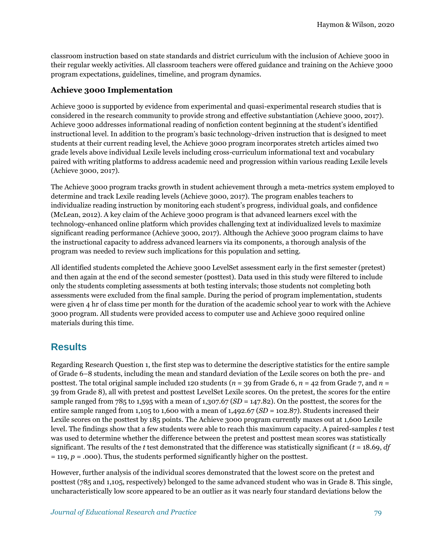classroom instruction based on state standards and district curriculum with the inclusion of Achieve 3000 in their regular weekly activities. All classroom teachers were offered guidance and training on the Achieve 3000 program expectations, guidelines, timeline, and program dynamics.

#### **Achieve 3000 Implementation**

Achieve 3000 is supported by evidence from experimental and quasi-experimental research studies that is considered in the research community to provide strong and effective substantiation (Achieve 3000, 2017). Achieve 3000 addresses informational reading of nonfiction content beginning at the student's identified instructional level. In addition to the program's basic technology-driven instruction that is designed to meet students at their current reading level, the Achieve 3000 program incorporates stretch articles aimed two grade levels above individual Lexile levels including cross-curriculum informational text and vocabulary paired with writing platforms to address academic need and progression within various reading Lexile levels (Achieve 3000, 2017).

The Achieve 3000 program tracks growth in student achievement through a meta-metrics system employed to determine and track Lexile reading levels (Achieve 3000, 2017). The program enables teachers to individualize reading instruction by monitoring each student's progress, individual goals, and confidence (McLean, 2012). A key claim of the Achieve 3000 program is that advanced learners excel with the technology-enhanced online platform which provides challenging text at individualized levels to maximize significant reading performance (Achieve 3000, 2017). Although the Achieve 3000 program claims to have the instructional capacity to address advanced learners via its components, a thorough analysis of the program was needed to review such implications for this population and setting.

All identified students completed the Achieve 3000 LevelSet assessment early in the first semester (pretest) and then again at the end of the second semester (posttest). Data used in this study were filtered to include only the students completing assessments at both testing intervals; those students not completing both assessments were excluded from the final sample. During the period of program implementation, students were given 4 hr of class time per month for the duration of the academic school year to work with the Achieve 3000 program. All students were provided access to computer use and Achieve 3000 required online materials during this time.

# **Results**

Regarding Research Question 1, the first step was to determine the descriptive statistics for the entire sample of Grade 6–8 students, including the mean and standard deviation of the Lexile scores on both the pre- and posttest. The total original sample included 120 students (*n* = 39 from Grade 6, *n* = 42 from Grade 7, and *n* = 39 from Grade 8), all with pretest and posttest LevelSet Lexile scores. On the pretest, the scores for the entire sample ranged from 785 to 1,595 with a mean of 1,307.67 (*SD* = 147.82). On the posttest, the scores for the entire sample ranged from 1,105 to 1,600 with a mean of 1,492.67 (*SD* = 102.87). Students increased their Lexile scores on the posttest by 185 points. The Achieve 3000 program currently maxes out at 1,600 Lexile level. The findings show that a few students were able to reach this maximum capacity. A paired-samples *t* test was used to determine whether the difference between the pretest and posttest mean scores was statistically significant. The results of the *t* test demonstrated that the difference was statistically significant (*t* = 18.69, *df*  = 119, *p* = .000). Thus, the students performed significantly higher on the posttest.

However, further analysis of the individual scores demonstrated that the lowest score on the pretest and posttest (785 and 1,105, respectively) belonged to the same advanced student who was in Grade 8. This single, uncharacteristically low score appeared to be an outlier as it was nearly four standard deviations below the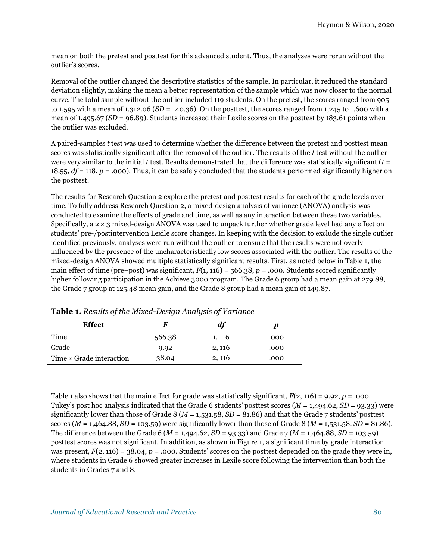mean on both the pretest and posttest for this advanced student. Thus, the analyses were rerun without the outlier's scores.

Removal of the outlier changed the descriptive statistics of the sample. In particular, it reduced the standard deviation slightly, making the mean a better representation of the sample which was now closer to the normal curve. The total sample without the outlier included 119 students. On the pretest, the scores ranged from 905 to 1,595 with a mean of 1,312.06 (*SD* = 140.36). On the posttest, the scores ranged from 1,245 to 1,600 with a mean of 1,495.67 (*SD* = 96.89). Students increased their Lexile scores on the posttest by 183.61 points when the outlier was excluded.

A paired-samples *t* test was used to determine whether the difference between the pretest and posttest mean scores was statistically significant after the removal of the outlier. The results of the *t* test without the outlier were very similar to the initial *t* test. Results demonstrated that the difference was statistically significant (*t* = 18.55,  $df = 118$ ,  $p = .000$ ). Thus, it can be safely concluded that the students performed significantly higher on the posttest.

The results for Research Question 2 explore the pretest and posttest results for each of the grade levels over time. To fully address Research Question 2, a mixed-design analysis of variance (ANOVA) analysis was conducted to examine the effects of grade and time, as well as any interaction between these two variables. Specifically, a  $2 \times 3$  mixed-design ANOVA was used to unpack further whether grade level had any effect on students' pre-/postintervention Lexile score changes. In keeping with the decision to exclude the single outlier identified previously, analyses were run without the outlier to ensure that the results were not overly influenced by the presence of the uncharacteristically low scores associated with the outlier. The results of the mixed-design ANOVA showed multiple statistically significant results. First, as noted below in Table 1, the main effect of time (pre–post) was significant,  $F(1, 116) = 566.38$ ,  $p = .000$ . Students scored significantly higher following participation in the Achieve 3000 program. The Grade 6 group had a mean gain at 279.88, the Grade 7 group at 125.48 mean gain, and the Grade 8 group had a mean gain of 149.87.

| <b>Effect</b>                   | H      | df     |      |
|---------------------------------|--------|--------|------|
| Time                            | 566.38 | 1, 116 | .000 |
| Grade                           | 9.92   | 2, 116 | .000 |
| Time $\times$ Grade interaction | 38.04  | 2, 116 | .000 |

**Table 1.** *Results of the Mixed-Design Analysis of Variance*

Table 1 also shows that the main effect for grade was statistically significant,  $F(2, 116) = 9.92$ ,  $p = .000$ . Tukey's post hoc analysis indicated that the Grade 6 students' posttest scores (*M* = 1,494.62, *SD* = 93.33) were significantly lower than those of Grade 8 (*M* = 1,531.58, *SD* = 81.86) and that the Grade 7 students' posttest scores  $(M = 1,464.88, SD = 103.59)$  were significantly lower than those of Grade 8  $(M = 1,531.58, SD = 81.86)$ . The difference between the Grade 6 (*M* = 1,494.62, *SD* = 93.33) and Grade 7 (*M* = 1,464.88, *SD* = 103.59) posttest scores was not significant. In addition, as shown in Figure 1, a significant time by grade interaction was present,  $F(2, 116) = 38.04$ ,  $p = .000$ . Students' scores on the posttest depended on the grade they were in, where students in Grade 6 showed greater increases in Lexile score following the intervention than both the students in Grades 7 and 8.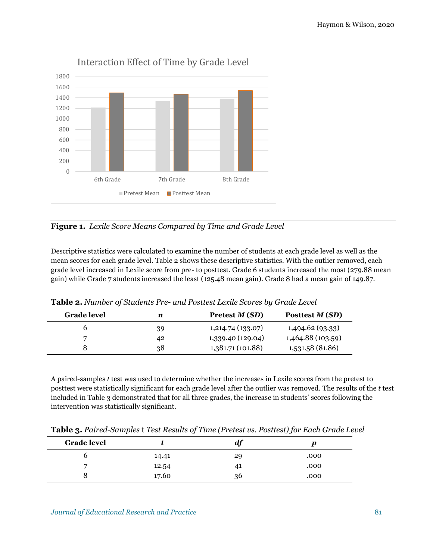

**Figure 1.** *Lexile Score Means Compared by Time and Grade Level*

Descriptive statistics were calculated to examine the number of students at each grade level as well as the mean scores for each grade level. Table 2 shows these descriptive statistics. With the outlier removed, each grade level increased in Lexile score from pre- to posttest. Grade 6 students increased the most (279.88 mean gain) while Grade 7 students increased the least (125.48 mean gain). Grade 8 had a mean gain of 149.87.

| <b>Grade</b> level | n  | Pretest <i>M</i> ( <i>SD</i> ) | Posttest M (SD)   |
|--------------------|----|--------------------------------|-------------------|
|                    | 39 | 1,214.74(133.07)               | 1,494.62 (93.33)  |
|                    | 42 | 1,339.40 (129.04)              | 1,464.88 (103.59) |
|                    | 38 | 1,381.71 (101.88)              | 1,531.58 (81.86)  |
|                    |    |                                |                   |

**Table 2.** *Number of Students Pre- and Posttest Lexile Scores by Grade Level*

A paired-samples *t* test was used to determine whether the increases in Lexile scores from the pretest to posttest were statistically significant for each grade level after the outlier was removed. The results of the *t* test included in Table 3 demonstrated that for all three grades, the increase in students' scores following the intervention was statistically significant.

|  |  |  |  | Table 3. Paired-Samples t Test Results of Time (Pretest vs. Posttest) for Each Grade Level |  |  |
|--|--|--|--|--------------------------------------------------------------------------------------------|--|--|
|--|--|--|--|--------------------------------------------------------------------------------------------|--|--|

| <b>Grade level</b> |       | $\boldsymbol{d}$ f |      |
|--------------------|-------|--------------------|------|
|                    | 14.41 | 29                 | .000 |
| -                  | 12.54 | -41                | .000 |
|                    | 17.60 | 36                 | .000 |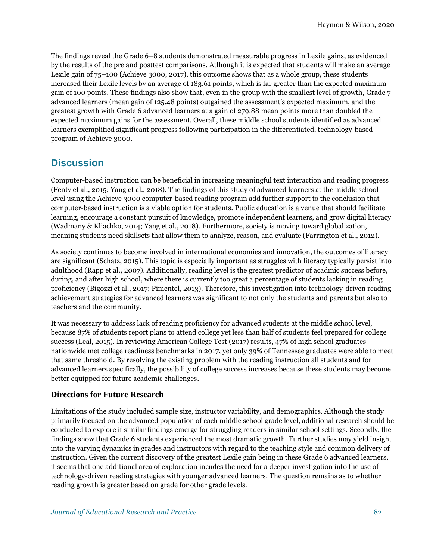The findings reveal the Grade 6–8 students demonstrated measurable progress in Lexile gains, as evidenced by the results of the pre and posttest comparisons. Atlhough it is expected that students will make an average Lexile gain of 75–100 (Achieve 3000, 2017), this outcome shows that as a whole group, these students increased their Lexile levels by an average of 183.61 points, which is far greater than the expected maximum gain of 100 points. These findings also show that, even in the group with the smallest level of growth, Grade 7 advanced learners (mean gain of 125.48 points) outgained the assessment's expected maximum, and the greatest growth with Grade 6 advanced learners at a gain of 279.88 mean points more than doubled the expected maximum gains for the assessment. Overall, these middle school students identified as advanced learners exemplified significant progress following participation in the differentiated, technology-based program of Achieve 3000.

### **Discussion**

Computer-based instruction can be beneficial in increasing meaningful text interaction and reading progress (Fenty et al., 2015; Yang et al., 2018). The findings of this study of advanced learners at the middle school level using the Achieve 3000 computer-based reading program add further support to the conclusion that computer-based instruction is a viable option for students. Public education is a venue that should facilitate learning, encourage a constant pursuit of knowledge, promote independent learners, and grow digital literacy (Wadmany & Kliachko, 2014; Yang et al., 2018). Furthermore, society is moving toward globalization, meaning students need skillsets that allow them to analyze, reason, and evaluate (Farrington et al., 2012).

As society continues to become involved in international economies and innovation, the outcomes of literacy are significant (Schatz, 2015). This topic is especially important as struggles with literacy typically persist into adulthood (Rapp et al., 2007). Additionally, reading level is the greatest predictor of acadmic success before, during, and after high school, where there is currently too great a percentage of students lacking in reading proficiency (Bigozzi et al., 2017; Pimentel, 2013). Therefore, this investigation into technology-driven reading achievement strategies for advanced learners was significant to not only the students and parents but also to teachers and the community.

It was necessary to address lack of reading proficiency for advanced students at the middle school level, because 87% of students report plans to attend college yet less than half of students feel prepared for college success (Leal, 2015). In reviewing American College Test (2017) results, 47% of high school graduates nationwide met college readiness benchmarks in 2017, yet only 39% of Tennessee graduates were able to meet that same threshold. By resolving the existing problem with the reading instruction all students and for advanced learners specifically, the possibility of college success increases because these students may become better equipped for future academic challenges.

#### **Directions for Future Research**

Limitations of the study included sample size, instructor variability, and demographics. Although the study primarily focused on the advanced population of each middle school grade level, additional research should be conducted to explore if similar findings emerge for struggling readers in similar school settings. Secondly, the findings show that Grade 6 students experienced the most dramatic growth. Further studies may yield insight into the varying dynamics in grades and instructors with regard to the teaching style and common delivery of instruction. Given the current discovery of the greatest Lexile gain being in these Grade 6 advanced learners, it seems that one additional area of exploration incudes the need for a deeper investigation into the use of technology-driven reading strategies with younger advanced learners. The question remains as to whether reading growth is greater based on grade for other grade levels.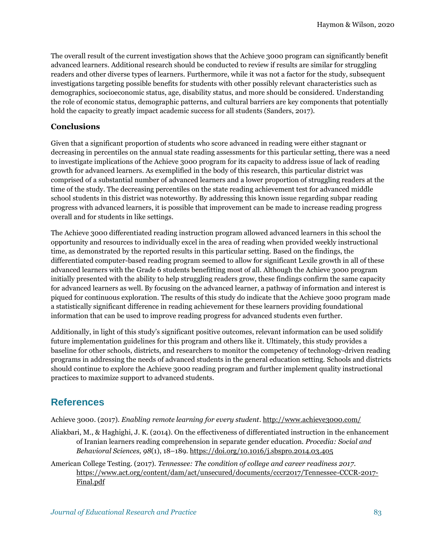The overall result of the current investigation shows that the Achieve 3000 program can significantly benefit advanced learners. Additional research should be conducted to review if results are similar for struggling readers and other diverse types of learners. Furthermore, while it was not a factor for the study, subsequent investigations targeting possible benefits for students with other possibly relevant characteristics such as demographics, socioeconomic status, age, disability status, and more should be considered. Understanding the role of economic status, demographic patterns, and cultural barriers are key components that potentially hold the capacity to greatly impact academic success for all students (Sanders, 2017).

### **Conclusions**

Given that a significant proportion of students who score advanced in reading were either stagnant or decreasing in percentiles on the annual state reading assessments for this particular setting, there was a need to investigate implications of the Achieve 3000 program for its capacity to address issue of lack of reading growth for advanced learners. As exemplified in the body of this research, this particular district was comprised of a substantial number of advanced learners and a lower proportion of struggling readers at the time of the study. The decreasing percentiles on the state reading achievement test for advanced middle school students in this district was noteworthy. By addressing this known issue regarding subpar reading progress with advanced learners, it is possible that improvement can be made to increase reading progress overall and for students in like settings.

The Achieve 3000 differentiated reading instruction program allowed advanced learners in this school the opportunity and resources to individually excel in the area of reading when provided weekly instructional time, as demonstrated by the reported results in this particular setting. Based on the findings, the differentiated computer-based reading program seemed to allow for significant Lexile growth in all of these advanced learners with the Grade 6 students benefitting most of all. Although the Achieve 3000 program initially presented with the ability to help struggling readers grow, these findings confirm the same capacity for advanced learners as well. By focusing on the advanced learner, a pathway of information and interest is piqued for continuous exploration. The results of this study do indicate that the Achieve 3000 program made a statistically significant difference in reading achievement for these learners providing foundational information that can be used to improve reading progress for advanced students even further.

Additionally, in light of this study's significant positive outcomes, relevant information can be used solidify future implementation guidelines for this program and others like it. Ultimately, this study provides a baseline for other schools, districts, and researchers to monitor the competency of technology-driven reading programs in addressing the needs of advanced students in the general education setting. Schools and districts should continue to explore the Achieve 3000 reading program and further implement quality instructional practices to maximize support to advanced students.

# **References**

Achieve 3000. (2017). *Enabling remote learning for every student*.<http://www.achieve3000.com/>

- Aliakbari, M., & Haghighi, J. K. (2014). On the effectiveness of differentiated instruction in the enhancement of Iranian learners reading comprehension in separate gender education. *Procedia: Social and Behavioral Sciences, 98*(1), 18–189[. https://doi.org/10.1016/j.sbspro.2014.03.405](https://doi.org/10.1016/j.sbspro.2014.03.405)
- American College Testing. (2017). *Tennessee: The condition of college and career readiness 2017*. [https://www.act.org/content/dam/act/unsecured/documents/cccr2017/Tennessee-CCCR-2017-](https://www.act.org/content/dam/act/unsecured/documents/cccr2017/Tennessee-CCCR-2017-Final.pdf) [Final.pdf](https://www.act.org/content/dam/act/unsecured/documents/cccr2017/Tennessee-CCCR-2017-Final.pdf)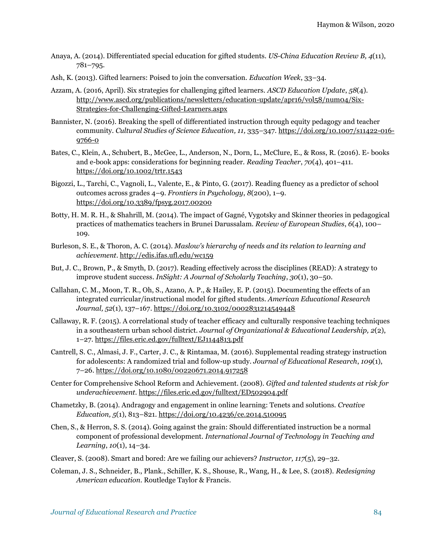- Anaya, A. (2014). Differentiated special education for gifted students. *US-China Education Review B, 4*(11), 781–795.
- Ash, K. (2013). Gifted learners: Poised to join the conversation. *Education Week*, 33–34.
- Azzam, A. (2016, April). Six strategies for challenging gifted learners. *ASCD Education Update*, *58*(4). [http://www.ascd.org/publications/newsletters/education-update/apr16/vol58/num04/Six-](http://www.ascd.org/publications/newsletters/education-update/apr16/vol58/num04/Six-Strategies-for-Challenging-Gifted-Learners.aspx)[Strategies-for-Challenging-Gifted-Learners.aspx](http://www.ascd.org/publications/newsletters/education-update/apr16/vol58/num04/Six-Strategies-for-Challenging-Gifted-Learners.aspx)
- Bannister, N. (2016). Breaking the spell of differentiated instruction through equity pedagogy and teacher community. *Cultural Studies of Science Education, 11,* 335–347. [https://doi.org/10.1007/s11422-016-](https://doi.org/10.1007/s11422-016-9766-0) [9766-0](https://doi.org/10.1007/s11422-016-9766-0)
- Bates, C., Klein, A., Schubert, B., McGee, L., Anderson, N., Dorn, L., McClure, E., & Ross, R. (2016). E- books and e-book apps: considerations for beginning reader. *Reading Teacher*, *70*(4), 401–411. <https://doi.org/10.1002/trtr.1543>
- Bigozzi, L., Tarchi, C., Vagnoli, L., Valente, E., & Pinto, G. (2017). Reading fluency as a predictor of school outcomes across grades 4–9. *Frontiers in Psychology*, *8*(200), 1–9. <https://doi.org/10.3389/fpsyg.2017.00200>
- Botty, H. M. R. H., & Shahrill, M. (2014). The impact of Gagné, Vygotsky and Skinner theories in pedagogical practices of mathematics teachers in Brunei Darussalam. *Review of European Studies*, *6*(4), 100– 109.
- Burleson, S. E., & Thoron, A. C. (2014). *Maslow's hierarchy of needs and its relation to learning and achievement*. <http://edis.ifas.ufl.edu/wc159>
- But, J. C., Brown, P., & Smyth, D. (2017). Reading effectively across the disciplines (READ): A strategy to improve student success. *InSight: A Journal of Scholarly Teaching*, *30*(1), 30–50.
- Callahan, C. M., Moon, T. R., Oh, S., Azano, A. P., & Hailey, E. P. (2015). Documenting the effects of an integrated curricular/instructional model for gifted students. *American Educational Research Journal, 52*(1), 137–167. <https://doi.org/10.3102/0002831214549448>
- Callaway, R. F. (2015). A correlational study of teacher efficacy and culturally responsive teaching techniques in a southeastern urban school district. *Journal of Organizational & Educational Leadership, 2*(2), 1–27.<https://files.eric.ed.gov/fulltext/EJ1144813.pdf>
- Cantrell, S. C., Almasi, J. F., Carter, J. C., & Rintamaa, M. (2016). Supplemental reading strategy instruction for adolescents: A randomized trial and follow-up study. *Journal of Educational Research*, *109*(1), 7–26.<https://doi.org/10.1080/00220671.2014.917258>
- Center for Comprehensive School Reform and Achievement. (2008). *Gifted and talented students at risk for underachievement.* <https://files.eric.ed.gov/fulltext/ED502904.pdf>
- Chametzky, B. (2014). Andragogy and engagement in online learning: Tenets and solutions. *Creative Education, 5*(1), 813–821[. https://doi.org/10.4236/ce.2014.510095](https://doi.org/10.4236/ce.2014.510095)
- Chen, S., & Herron, S. S. (2014). Going against the grain: Should differentiated instruction be a normal component of professional development. *International Journal of Technology in Teaching and Learning*, *10*(1), 14–34.
- Cleaver, S. (2008). Smart and bored: Are we failing our achievers? *Instructor, 117*(5), 29–32.
- Coleman, J. S., Schneider, B., Plank., Schiller, K. S., Shouse, R., Wang, H., & Lee, S. (2018). *Redesigning American education*. Routledge Taylor & Francis.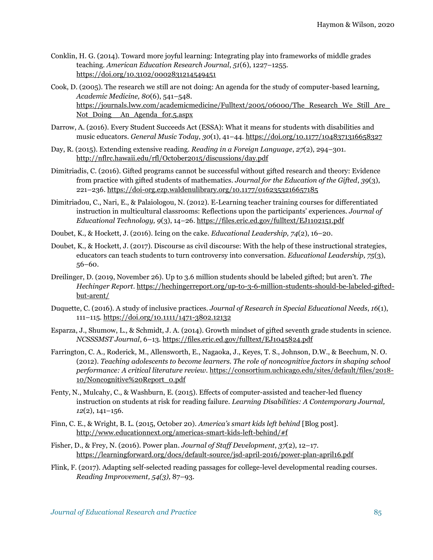- Conklin, H. G. (2014). Toward more joyful learning: Integrating play into frameworks of middle grades teaching. *American Education Research Journal*, *51*(6), 1227–1255. <https://doi.org/10.3102/0002831214549451>
- Cook, D. (2005). The research we still are not doing: An agenda for the study of computer-based learning, *Academic Medicine, 80*(6), 541–548. https://journals.lww.com/academicmedicine/Fulltext/2005/06000/The\_Research\_We\_Still\_Are Not Doing An Agenda for.5.aspx
- Darrow, A. (2016). Every Student Succeeds Act (ESSA): What it means for students with disabilities and music educators. *General Music Today*, *30*(1), 41–44[. https://doi.org/10.1177/1048371316658327](https://doi.org/10.1177/1048371316658327)
- Day, R. (2015). Extending extensive reading. *Reading in a Foreign Language*, *27*(2), 294–301. <http://nflrc.hawaii.edu/rfl/October2015/discussions/day.pdf>
- Dimitriadis, C. (2016). Gifted programs cannot be successful without gifted research and theory: Evidence from practice with gifted students of mathematics. *Journal for the Education of the Gifted*, *39*(3), 221–236. [https://doi-org.ezp.waldenulibrary.org/10.1177/0162353216657185](https://doi-org.ezp.waldenulibrary.org/10.1177%2F0162353216657185)
- Dimitriadou, C., Nari, E., & Palaiologou, N. (2012). E-Learning teacher training courses for differentiated instruction in multicultural classrooms: Reflections upon the participants' experiences. *Journal of Educational Technology, 9*(3), 14–26[. https://files.eric.ed.gov/fulltext/EJ1102151.pdf](https://files.eric.ed.gov/fulltext/EJ1102151.pdf)
- Doubet, K., & Hockett, J. (2016). Icing on the cake. *Educational Leadership, 74*(2), 16–20.
- Doubet, K., & Hockett, J. (2017). Discourse as civil discourse: With the help of these instructional strategies, educators can teach students to turn controversy into conversation. *Educational Leadership, 75*(3), 56–60.
- Dreilinger, D. (2019, November 26). Up to 3.6 million students should be labeled gifted; but aren't. *The Hechinger Report*. [https://hechingerreport.org/up-to-3-6-million-students-should-be-labeled-gifted](https://hechingerreport.org/up-to-3-6-million-students-should-be-labeled-gifted-but-arent/)[but-arent/](https://hechingerreport.org/up-to-3-6-million-students-should-be-labeled-gifted-but-arent/)
- Duquette, C. (2016). A study of inclusive practices. *Journal of Research in Special Educational Needs*, *16*(1), 111–115. <https://doi.org/10.1111/1471-3802.12132>
- Esparza, J., Shumow, L., & Schmidt, J. A. (2014). Growth mindset of gifted seventh grade students in science. *NCSSSMST Journal*, 6–13. <https://files.eric.ed.gov/fulltext/EJ1045824.pdf>
- Farrington, C. A., Roderick, M., Allensworth, E., Nagaoka, J., Keyes, T. S., Johnson, D.W., & Beechum, N. O. (2012). *Teaching adolescents to become learners. The role of noncognitive factors in shaping school performance: A critical literature review.* [https://consortium.uchicago.edu/sites/default/files/2018-](https://consortium.uchicago.edu/sites/default/files/2018-10/Noncognitive%20Report_0.pdf) [10/Noncognitive%20Report\\_0.pdf](https://consortium.uchicago.edu/sites/default/files/2018-10/Noncognitive%20Report_0.pdf)
- Fenty, N., Mulcahy, C., & Washburn, E. (2015). Effects of computer-assisted and teacher-led fluency instruction on students at risk for reading failure. *Learning Disabilities: A Contemporary Journal, 12*(2), 141–156.
- Finn, C. E., & Wright, B. L. (2015, October 20). *America's smart kids left behind* [Blog post]. <http://www.educationnext.org/americas-smart-kids-left-behind/#f>
- Fisher, D., & Frey, N. (2016). Power plan. *Journal of Staff Development*, *37*(2), 12–17. <https://learningforward.org/docs/default-source/jsd-april-2016/power-plan-april16.pdf>
- Flink, F. (2017). Adapting self-selected reading passages for college-level developmental reading courses. *Reading Improvement, 54(3),* 87–93.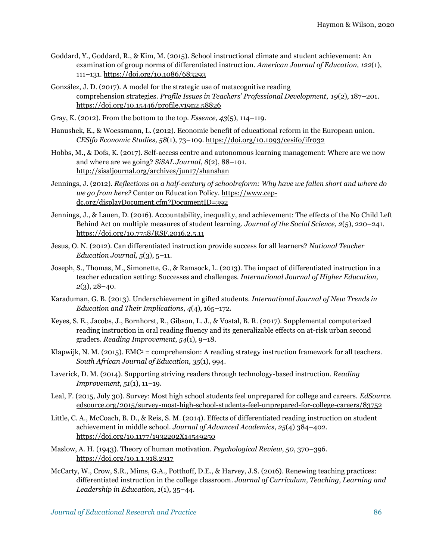- Goddard, Y., Goddard, R., & Kim, M. (2015). School instructional climate and student achievement: An examination of group norms of differentiated instruction. *American Journal of Education, 122*(1), 111–131[. https://doi.org/10.1086/683293](https://doi.org/10.1086/683293)
- González, J. D. (2017). A model for the strategic use of metacognitive reading comprehension strategies. *Profile Issues in Teachers' Professional Development*, *19*(2), 187–201. <https://doi.org/10.15446/profile.v19n2.58826>
- Gray, K. (2012). From the bottom to the top. *Essence, 43*(5), 114–119.
- Hanushek, E., & Woessmann, L. (2012). Economic benefit of educational reform in the European union. *CESifo Economic Studies, 58*(1), 73–109.<https://doi.org/10.1093/cesifo/ifr032>
- Hobbs, M., & Dofs, K. (2017). Self-access centre and autonomous learning management: Where are we now and where are we going? *SiSAL Journal*, *8*(2), 88–101. <http://sisaljournal.org/archives/jun17/shanshan>
- Jennings, J. (2012). *Reflections on a half-century of schoolreform: Why have we fallen short and where do we go from here?* Center on Education Policy. [https://www.cep](https://www.cep-dc.org/displayDocument.cfm?DocumentID=392)[dc.org/displayDocument.cfm?DocumentID=392](https://www.cep-dc.org/displayDocument.cfm?DocumentID=392)
- Jennings, J., & Lauen, D. (2016). Accountability, inequality, and achievement: The effects of the No Child Left Behind Act on multiple measures of student learning. *Journal of the Social Science, 2*(5), 220–241. <https://doi.org/10.7758/RSF.2016.2.5.11>
- Jesus, O. N. (2012). Can differentiated instruction provide success for all learners? *National Teacher Education Journal, 5*(3), 5–11.
- Joseph, S., Thomas, M., Simonette, G., & Ramsock, L. (2013). The impact of differentiated instruction in a teacher education setting: Successes and challenges. *International Journal of Higher Education, 2*(3), 28–40.
- Karaduman, G. B. (2013). Underachievement in gifted students. *International Journal of New Trends in Education and Their Implications*, *4*(4), 165–172.
- Keyes, S. E., Jacobs, J., Bornhorst, R., Gibson, L. J., & Vostal, B. R. (2017). Supplemental computerized reading instruction in oral reading fluency and its generalizable effects on at-risk urban second graders. *Reading Improvement*, *54*(1), 9–18.
- Klapwijk, N. M. (2015). EMC<sup>2</sup> = comprehension: A reading strategy instruction framework for all teachers. *South African Journal of Education, 35*(1), 994.
- Laverick, D. M. (2014). Supporting striving readers through technology-based instruction. *Reading Improvement*, *51*(1), 11–19.
- Leal, F. (2015, July 30). Survey: Most high school students feel unprepared for college and careers. *EdSource.*  <edsource.org/2015/survey-most-high-school-students-feel-unprepared-for-college-careers/83752>
- Little, C. A., McCoach, B. D., & Reis, S. M. (2014). Effects of differentiated reading instruction on student achievement in middle school. *Journal of Advanced Academics*, *25*(4) 384–402. <https://doi.org/10.1177/1932202X14549250>
- Maslow, A. H. (1943). Theory of human motivation. *Psychological Review*, *50*, 370–396. <https://doi.org/10.1.1.318.2317>
- McCarty, W., Crow, S.R., Mims, G.A., Potthoff, D.E., & Harvey, J.S. (2016). Renewing teaching practices: differentiated instruction in the college classroom. *Journal of Curriculum, Teaching, Learning and Leadership in Education*, *1*(1), 35–44.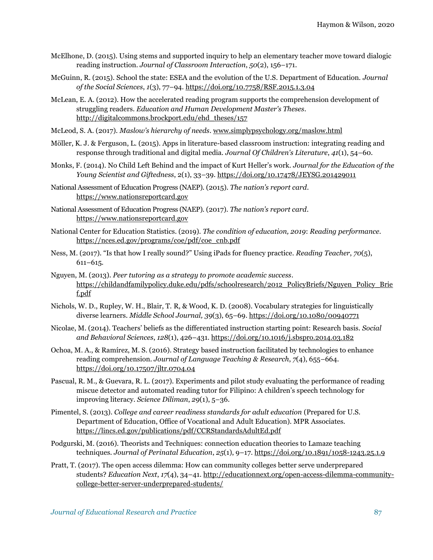- McElhone, D. (2015). Using stems and supported inquiry to help an elementary teacher move toward dialogic reading instruction. *Journal of Classroom Interaction*, *50*(2), 156–171.
- McGuinn, R. (2015). School the state: ESEA and the evolution of the U.S. Department of Education. *Journal of the Social Sciences*, *1*(3), 77–94[. https://doi.org/10.7758/RSF.2015.1.3.04](https://doi.org/10.7758/RSF.2015.1.3.04)
- McLean, E. A. (2012). How the accelerated reading program supports the comprehension development of struggling readers. *Education and Human Development Master's Theses*. [http://digitalcommons.brockport.edu/ehd\\_theses/157](http://digitalcommons.brockport.edu/ehd_theses/157)
- McLeod, S. A. (2017). *Maslow's hierarchy of needs*[. www.simplypsychology.org/maslow.html](http://www.simplypsychology.org/maslow.html)
- Möller, K. J. & Ferguson, L. (2015). Apps in literature-based classroom instruction: integrating reading and response through traditional and digital media. *Journal Of Children's Literature*, *41*(1), 54–60.
- Monks, F. (2014). No Child Left Behind and the impact of Kurt Heller's work. *Journal for the Education of the Young Scientist and Giftedness*, 2(1), 33–39.<https://doi.org/10.17478/JEYSG.201429011>
- National Assessment of Education Progress (NAEP). (2015). *The nation's report card*. [https://www.nationsreportcard.gov](https://www.nationsreportcard.gov/)
- National Assessment of Education Progress (NAEP). (2017). *The nation's report card*. [https://www.nationsreportcard.gov](https://www.nationsreportcard.gov/)
- National Center for Education Statistics. (2019). *The condition of education, 2019*: *Reading performance.*  [https://nces.ed.gov/programs/coe/pdf/coe\\_cnb.pdf](https://nces.ed.gov/programs/coe/pdf/coe_cnb.pdf)
- Ness, M. (2017). "Is that how I really sound?" Using iPads for fluency practice. *Reading Teacher*, *70*(5), 611–615.
- Nguyen, M. (2013). *Peer tutoring as a strategy to promote academic success*. [https://childandfamilypolicy.duke.edu/pdfs/schoolresearch/2012\\_PolicyBriefs/Nguyen\\_Policy\\_Brie](https://childandfamilypolicy.duke.edu/pdfs/schoolresearch/2012_PolicyBriefs/Nguyen_Policy_Brief.pdf) [f.pdf](https://childandfamilypolicy.duke.edu/pdfs/schoolresearch/2012_PolicyBriefs/Nguyen_Policy_Brief.pdf)
- Nichols, W. D., Rupley, W. H., Blair, T. R, & Wood, K. D. (2008). Vocabulary strategies for linguistically diverse learners. *Middle School Journal, 39*(3), 65–69[. https://doi.org/10.1080/00940771](https://doi.org/10.1080/00940771)
- Nicolae, M. (2014). Teachers' beliefs as the differentiated instruction starting point: Research basis. *Social and Behavioral Sciences*, *128*(1), 426–431.<https://doi.org/10.1016/j.sbspro.2014.03.182>
- Ochoa, M. A., & Ramírez, M. S. (2016). Strategy based instruction facilitated by technologies to enhance reading comprehension. *Journal of Language Teaching & Research*, *7*(4), 655–664. <https://doi.org/10.17507/jltr.0704.04>
- Pascual, R. M., & Guevara, R. L. (2017). Experiments and pilot study evaluating the performance of reading miscue detector and automated reading tutor for Filipino: A children's speech technology for improving literacy. *Science Diliman*, *29*(1), 5–36.
- Pimentel, S. (2013). *College and career readiness standards for adult education* (Prepared for U.S. Department of Education, Office of Vocational and Adult Education). MPR Associates. <https://lincs.ed.gov/publications/pdf/CCRStandardsAdultEd.pdf>
- Podgurski, M. (2016). Theorists and Techniques: connection education theories to Lamaze teaching techniques. *Journal of Perinatal Education*, *25*(1), 9–17.<https://doi.org/10.1891/1058-1243.25.1.9>
- Pratt, T. (2017). The open access dilemma: How can community colleges better serve underprepared students? *Education Next*, *17*(4), 34–41[. http://educationnext.org/open-access-dilemma-community](http://educationnext.org/open-access-dilemma-community-college-better-server-underprepared-students/)[college-better-server-underprepared-students/](http://educationnext.org/open-access-dilemma-community-college-better-server-underprepared-students/)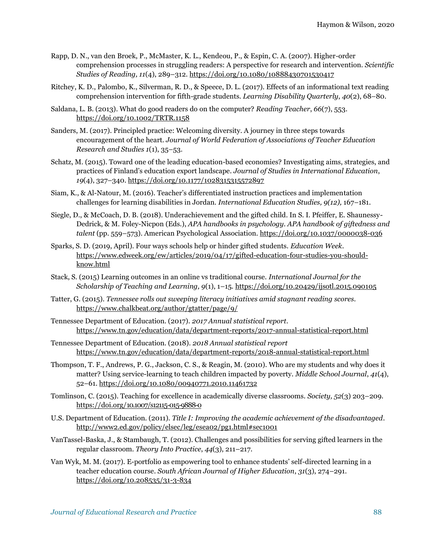- Rapp, D. N., van den Broek, P., McMaster, K. L., Kendeou, P., & Espin, C. A. (2007). Higher-order comprehension processes in struggling readers: A perspective for research and intervention. *Scientific Studies of Reading, 11*(4), 289–312.<https://doi.org/10.1080/10888430701530417>
- Ritchey, K. D., Palombo, K., Silverman, R. D., & Speece, D. L. (2017). Effects of an informational text reading comprehension intervention for fifth-grade students. *Learning Disability Quarterly*, *40*(2), 68–80.
- Saldana, L. B. (2013). What do good readers do on the computer? *Reading Teacher*, *66*(7), 553. <https://doi.org/10.1002/TRTR.1158>
- Sanders, M. (2017). Principled practice: Welcoming diversity. A journey in three steps towards encouragement of the heart. *Journal of World Federation of Associations of Teacher Education Research and Studies 1*(1), 35–53.
- Schatz, M. (2015). Toward one of the leading education-based economies? Investigating aims, strategies, and practices of Finland's education export landscape. *Journal of Studies in International Education*, *19*(4), 327–340.<https://doi.org/10.1177/1028315315572897>
- Siam, K., & Al-Natour, M. (2016). Teacher's differentiated instruction practices and implementation challenges for learning disabilities in Jordan. *International Education Studies, 9(12),* 167–181*.*
- Siegle, D., & McCoach, D. B. (2018). Underachievement and the gifted child. In S. I. Pfeiffer, E. Shaunessy-Dedrick, & M. Foley-Nicpon (Eds.), *APA handbooks in psychology. APA handbook of giftedness and talent* (pp. 559–573). American Psychological Association. <https://doi.org/10.1037/0000038-036>
- Sparks, S. D. (2019, April). Four ways schools help or hinder gifted students. *Education Week*. [https://www.edweek.org/ew/articles/2019/04/17/gifted-education-four-studies-you-should](https://www.edweek.org/ew/articles/2019/04/17/gifted-education-four-studies-you-should-know.html)[know.html](https://www.edweek.org/ew/articles/2019/04/17/gifted-education-four-studies-you-should-know.html)
- Stack, S. (2015) Learning outcomes in an online vs traditional course. *International Journal for the Scholarship of Teaching and Learning, 9*(1), 1–15.<https://doi.org/10.20429/ijsotl.2015.090105>
- Tatter, G. (2015). *Tennessee rolls out sweeping literacy initiatives amid stagnant reading scores.*  <https://www.chalkbeat.org/author/gtatter/page/9/>
- Tennessee Department of Education. (2017). *2017 Annual statistical report*. <https://www.tn.gov/education/data/department-reports/2017-annual-statistical-report.html>
- Tennessee Department of Education. (2018). *2018 Annual statistical report* <https://www.tn.gov/education/data/department-reports/2018-annual-statistical-report.html>
- Thompson, T. F., Andrews, P. G., Jackson, C. S., & Reagin, M. (2010). Who are my students and why does it matter? Using service-learning to teach children impacted by poverty. *Middle School Journal*, *41*(4), 52–61.<https://doi.org/10.1080/00940771.2010.11461732>
- Tomlinson, C. (2015). Teaching for excellence in academically diverse classrooms. *Society, 52*(3) 203–209. <https://doi.org/10.1007/s12115-015-9888-0>
- U.S. Department of Education. (2011). *Title I: Improving the academic achievement of the disadvantaged*. <http://www2.ed.gov/policy/elsec/leg/esea02/pg1.html#sec1001>
- VanTassel-Baska, J., & Stambaugh, T. (2012). Challenges and possibilities for serving gifted learners in the regular classroom. *Theory Into Practice*, *44*(3), 211–217.
- Van Wyk, M. M. (2017). E-portfolio as empowering tool to enhance students' self-directed learning in a teacher education course. *South African Journal of Higher Education*, *31*(3), 274–291. <https://doi.org/10.208535/31-3-834>